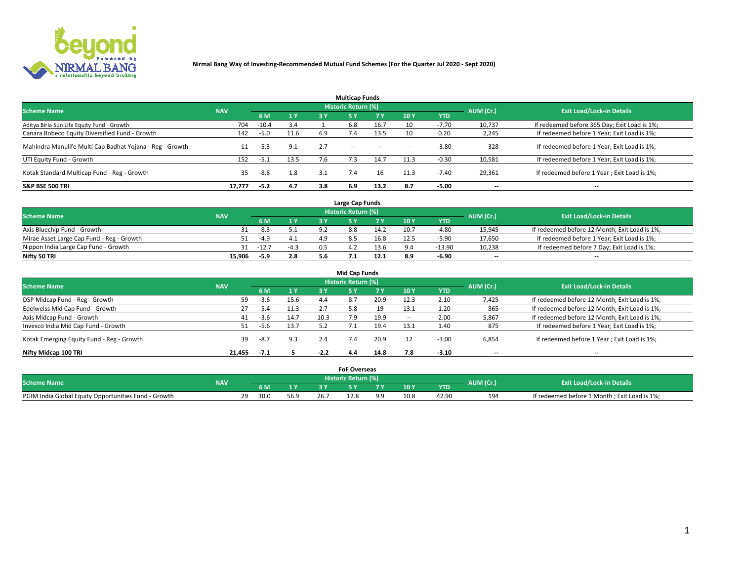

|                                                          |            |         |      |     | <b>Multicap Funds</b> |           |                          |            |           |                                              |
|----------------------------------------------------------|------------|---------|------|-----|-----------------------|-----------|--------------------------|------------|-----------|----------------------------------------------|
| <b>Scheme Name</b>                                       | <b>NAV</b> |         |      |     | Historic Return (%)   |           |                          |            | AUM (Cr.) | <b>Exit Load/Lock-in Details</b>             |
|                                                          |            | 6 M     | 1 Y  | 3 Y | <b>5Y</b>             | <b>7Y</b> | 10Y                      | <b>YTD</b> |           |                                              |
| Aditya Birla Sun Life Equity Fund - Growth               | 704        | $-10.4$ | 3.4  |     | 6.8                   | 16.7      | 10                       | $-7.70$    | 10,737    | If redeemed before 365 Day; Exit Load is 1%; |
| Canara Robeco Equity Diversified Fund - Growth           | 142        | -5.0    | 11.6 | 6.9 |                       | 13.5      | 10                       | 0.20       | 2,245     | If redeemed before 1 Year; Exit Load is 1%;  |
| Mahindra Manulife Multi Cap Badhat Yojana - Reg - Growth | 11         | -5.3    | 9.1  | 2.7 | $\sim$ $-$            | $\sim$    | $\overline{\phantom{a}}$ | $-3.80$    | 328       | If redeemed before 1 Year; Exit Load is 1%;  |
| UTI Equity Fund - Growth                                 | 152        | $-5.1$  | 13.5 |     |                       | 14.7      | 11.3                     | $-0.30$    | 10,581    | If redeemed before 1 Year; Exit Load is 1%;  |
| Kotak Standard Multicap Fund - Reg - Growth              | 35         | $-8.8$  | 1.8  | 3.1 |                       | 16        | 11.3                     | $-7.40$    | 29,361    | If redeemed before 1 Year; Exit Load is 1%;  |
| <b>S&amp;P BSE 500 TRI</b>                               | 17.777     | $-5.2$  | 4.7  | 3.8 | 6.9                   | 13.2      | 8.7                      | $-5.00$    | --        | $- -$                                        |

|                                           |            |             |                |     | Large Cap Funds     |      |      |            |                          |                                               |
|-------------------------------------------|------------|-------------|----------------|-----|---------------------|------|------|------------|--------------------------|-----------------------------------------------|
| <b>Scheme Name</b>                        | <b>NAV</b> |             |                |     | Historic Return (%) |      |      |            | AUM (Cr.)                | <b>Exit Load/Lock-in Details</b>              |
|                                           |            | 6 M         | 4 <sub>Y</sub> |     |                     |      | 10 Y | <b>YTD</b> |                          |                                               |
| Axis Bluechip Fund - Growth               |            | $-8.3$      |                | Q)  | 88                  | 14.2 | 10.7 | $-4.80$    | 15,945                   | If redeemed before 12 Month; Exit Load is 1%; |
| Mirae Asset Large Cap Fund - Reg - Growth |            | -4.9        |                |     |                     | 16.8 | 12.5 | $-5.90$    | 17,650                   | If redeemed before 1 Year; Exit Load is 1%;   |
| Nippon India Large Cap Fund - Growth      |            | $31 - 12.7$ | $-4.3$         | 0.5 |                     | 13.6 |      | -13.90     | 10,238                   | If redeemed before 7 Day; Exit Load is 1%;    |
| Nifty 50 TRI                              | 15.906     | -5.9        | 2.8            |     |                     | 12.1 | 8.9  | $-6.90$    | $\overline{\phantom{a}}$ | $- -$                                         |

|                                           |            |        |      |        | <b>Mid Cap Funds</b>       |      |                          |            |                          |                                               |
|-------------------------------------------|------------|--------|------|--------|----------------------------|------|--------------------------|------------|--------------------------|-----------------------------------------------|
| <b>Scheme Name</b>                        | <b>NAV</b> |        |      |        | <b>Historic Return (%)</b> |      |                          |            | AUM (Cr.)                | <b>Exit Load/Lock-in Details</b>              |
|                                           |            | 6 M    | 1 Y  | 3 Y    |                            | 7 Y  | 10Y                      | <b>YTD</b> |                          |                                               |
| DSP Midcap Fund - Reg - Growth            | 59         | $-3.6$ | 15.6 | 4.4    | 8.7                        | 20.9 | 12.3                     | 2.10       | 7,425                    | If redeemed before 12 Month; Exit Load is 1%; |
| Edelweiss Mid Cap Fund - Growth           | 27         | -5.4   | 11.3 | 2.7    | 5.8                        | 19   | 13.1                     | 1.20       | 865                      | If redeemed before 12 Month; Exit Load is 1%; |
| Axis Midcap Fund - Growth                 | 41         | -3.6   | 14.7 | 10.3   | 7.9                        | 19.9 | $\overline{\phantom{a}}$ | 2.00       | 5,867                    | If redeemed before 12 Month; Exit Load is 1%; |
| Invesco India Mid Cap Fund - Growth       | 51         | -5.6   | 13.7 | 5.2    |                            | 19.4 | 13.1                     | 1.40       | 875                      | If redeemed before 1 Year; Exit Load is 1%;   |
| Kotak Emerging Equity Fund - Reg - Growth | 39         | -8.7   | 9.3  | 2.4    | 7.4                        | 20.9 |                          | $-3.00$    | 6,854                    | If redeemed before 1 Year; Exit Load is 1%;   |
| Nifty Midcap 100 TRI                      | 21.455     | $-7.1$ |      | $-2.2$ | 4.4                        | 14.8 |                          | $-3.10$    | $\overline{\phantom{a}}$ | $- -$                                         |

|                                                      |            |                         |      |      | <b>FoF Overseas</b>        |            |      |            |           |                                              |
|------------------------------------------------------|------------|-------------------------|------|------|----------------------------|------------|------|------------|-----------|----------------------------------------------|
| <b>Scheme Name</b>                                   | <b>NAV</b> |                         |      |      | <b>Historic Return (%)</b> |            |      |            | AUM (Cr.) | <b>Exit Load/Lock-in Details</b>             |
|                                                      |            | 6 M                     |      |      |                            |            | 10Y  | <b>YTD</b> |           |                                              |
| PGIM India Global Equity Opportunities Fund - Growth |            | າດ<br>30.0<br><u>_ </u> | 56.9 | 26.7 | 12.8                       | $^{\circ}$ | 10.8 | 42.90      | 194       | If redeemed before 1 Month; Exit Load is 1%; |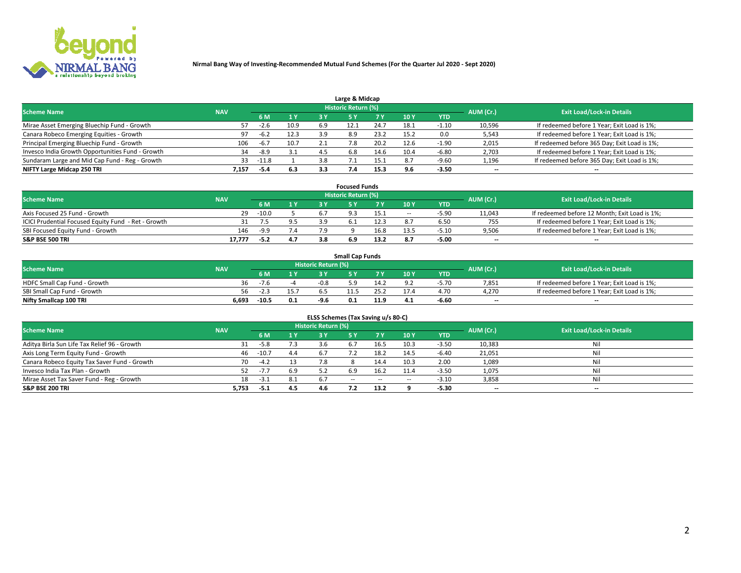

| Large & Midcap                                   |            |         |      |     |                     |      |      |            |                          |                                              |  |  |  |  |
|--------------------------------------------------|------------|---------|------|-----|---------------------|------|------|------------|--------------------------|----------------------------------------------|--|--|--|--|
| <b>Scheme Name</b>                               | <b>NAV</b> |         |      |     | Historic Return (%) |      |      |            | AUM (Cr.)                | <b>Exit Load/Lock-in Details</b>             |  |  |  |  |
|                                                  |            | 6 M     | 1 Y  |     |                     | 7 V  | 10Y  | <b>YTD</b> |                          |                                              |  |  |  |  |
| Mirae Asset Emerging Bluechip Fund - Growth      |            | $-2.6$  | 10.9 | 6.9 |                     | 24.7 | 18.1 | 1.10       | 10,596                   | If redeemed before 1 Year; Exit Load is 1%;  |  |  |  |  |
| Canara Robeco Emerging Equities - Growth         | 97         | $-6.2$  | 12.3 | 3.9 | 8.9                 | 23.2 | 15.2 | 0.0        | 5,543                    | If redeemed before 1 Year; Exit Load is 1%;  |  |  |  |  |
| Principal Emerging Bluechip Fund - Growth        | 106        | $-6.7$  | 10.7 | 2.1 |                     | 20.2 | 12.6 | -1.90      | 2,015                    | If redeemed before 365 Day; Exit Load is 1%; |  |  |  |  |
| Invesco India Growth Opportunities Fund - Growth | 34         | -8.9    | 3.1  | 4.5 | 6.8                 | 14.b | 10.4 | $-6.80$    | 2,703                    | If redeemed before 1 Year; Exit Load is 1%;  |  |  |  |  |
| Sundaram Large and Mid Cap Fund - Reg - Growth   | 33         | $-11.8$ |      | 3.8 |                     |      | 8.7  | $-9.60$    | 1,196                    | If redeemed before 365 Day; Exit Load is 1%; |  |  |  |  |
| NIFTY Large Midcap 250 TRI                       | 7.157      | -5.4    | 6.3  |     |                     | 15.3 |      | $-3.50$    | $\overline{\phantom{a}}$ | $- -$                                        |  |  |  |  |

|                                                     |            |         |                | <b>Focused Funds</b>       |      |        |            |                          |                                               |
|-----------------------------------------------------|------------|---------|----------------|----------------------------|------|--------|------------|--------------------------|-----------------------------------------------|
| <b>Scheme Name</b>                                  | <b>NAV</b> |         |                | <b>Historic Return (%)</b> |      |        |            | AUM (Cr.)                | <b>Exit Load/Lock-in Details</b>              |
|                                                     |            | 6 M     | 1 <sub>V</sub> |                            |      | 10 Y   | <b>YTD</b> |                          |                                               |
| Axis Focused 25 Fund - Growth                       | 29         | $-10.0$ |                |                            | 15.1 | $\sim$ | $-5.9C$    | 11,043                   | If redeemed before 12 Month; Exit Load is 1%; |
| ICICI Prudential Focused Equity Fund - Ret - Growth |            |         |                |                            | 12.3 |        | 6.50       | 755                      | If redeemed before 1 Year; Exit Load is 1%;   |
| SBI Focused Equity Fund - Growth                    | 146        | $-9.9$  | 7.4            |                            | 16.8 |        | $-5.10$    | 9,506                    | If redeemed before 1 Year; Exit Load is 1%;   |
| S&P BSE 500 TRI                                     | 17.777     | $-5.2$  | 4.7            |                            | 13.2 |        | $-5.00$    | $\overline{\phantom{a}}$ | $- -$                                         |

| <b>Small Cap Funds</b>       |       |                                                |     |        |     |      |                 |            |       |                                             |  |  |  |
|------------------------------|-------|------------------------------------------------|-----|--------|-----|------|-----------------|------------|-------|---------------------------------------------|--|--|--|
| <b>Scheme Name</b>           |       | Historic Return (%)<br>AUM (Cr.)<br><b>NAV</b> |     |        |     |      |                 |            |       | <b>Exit Load/Lock-in Details</b>            |  |  |  |
|                              |       | 6 M                                            | 1 Y |        |     |      | 10 <sub>Y</sub> | <b>YTD</b> |       |                                             |  |  |  |
| HDFC Small Cap Fund - Growth | 36    |                                                |     | $-0.8$ | 59. |      |                 | -5.70      | 7,851 | If redeemed before 1 Year; Exit Load is 1%; |  |  |  |
| SBI Small Cap Fund - Growth  | 56.   |                                                |     |        |     |      |                 | 4.70       | 4.270 | If redeemed before 1 Year; Exit Load is 1%; |  |  |  |
| Nifty Smallcap 100 TRI       | 6.693 | $-10.5$                                        | 0.1 | $-9.6$ | 0.1 | 11.9 | 4.1             | $-6.60$    | $- -$ | $- -$                                       |  |  |  |

| ELSS Schemes (Tax Saving u/s 80-C)           |            |         |     |                            |           |        |                          |            |                          |                                  |  |  |  |
|----------------------------------------------|------------|---------|-----|----------------------------|-----------|--------|--------------------------|------------|--------------------------|----------------------------------|--|--|--|
| <b>Scheme Name</b>                           | <b>NAV</b> |         |     | <b>Historic Return (%)</b> |           |        |                          |            | AUM (Cr.)                | <b>Exit Load/Lock-in Details</b> |  |  |  |
|                                              |            | - 6 M   | 1Y  | 73 Y                       | <b>5Y</b> | 7 Y    | 10 Y                     | <b>YTD</b> |                          |                                  |  |  |  |
| Aditya Birla Sun Life Tax Relief 96 - Growth |            | $-5.8$  | 7.3 |                            |           | 16.5   | 10.3                     | $-3.50$    | 10,383                   | Nil                              |  |  |  |
| Axis Long Term Equity Fund - Growth          | 46         | $-10.7$ | 4.4 | 6.7                        |           | 18.2   | 14.5                     | $-6.40$    | 21,051                   | Nil                              |  |  |  |
| Canara Robeco Equity Tax Saver Fund - Growth | 70         | $-4.2$  | 13  |                            |           | 14.4   | 10.3                     | 2.00       | 1,089                    | Nil                              |  |  |  |
| Invesco India Tax Plan - Growth              | 52         | $-7.7$  | 6.9 |                            | 6.9       | 16.2   | 11.4                     | $-3.50$    | 1,075                    | Nil                              |  |  |  |
| Mirae Asset Tax Saver Fund - Reg - Growth    | 18         | -3.1    | 8.1 | 6.7                        | $- -$     | $\sim$ | $\overline{\phantom{a}}$ | $-3.10$    | 3,858                    | Nil                              |  |  |  |
| S&P BSE 200 TRI                              | 5,753      | $-5.1$  | 4.5 | 4.6                        |           | 13.2   |                          | $-5.30$    | $\overline{\phantom{a}}$ | $- -$                            |  |  |  |

# 2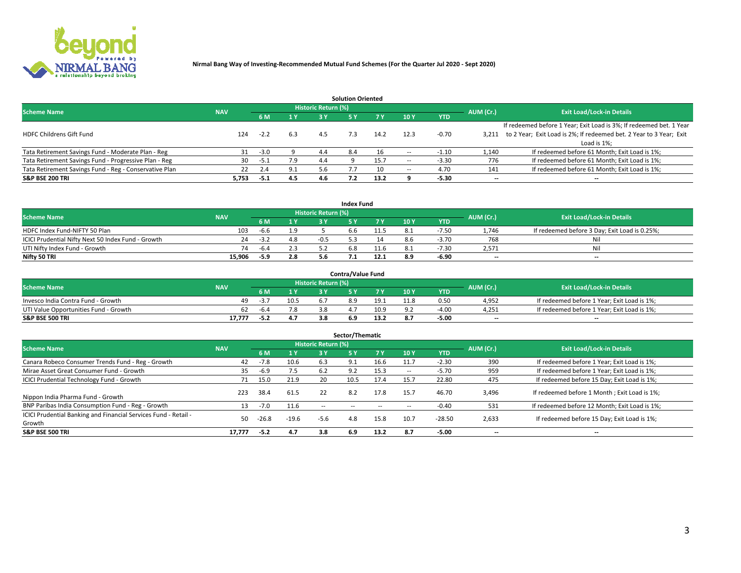

|                                                        |            |            |     |                            | <b>Solution Oriented</b> |      |                          |            |                          |                                                                     |
|--------------------------------------------------------|------------|------------|-----|----------------------------|--------------------------|------|--------------------------|------------|--------------------------|---------------------------------------------------------------------|
| <b>Scheme Name</b>                                     | <b>NAV</b> |            |     | <b>Historic Return (%)</b> |                          |      |                          |            | AUM (Cr.)                | <b>Exit Load/Lock-in Details</b>                                    |
|                                                        |            | <b>6 M</b> | 1 Y | 3 Y                        |                          | 7 V  | 10Y                      | <b>YTD</b> |                          |                                                                     |
|                                                        |            |            |     |                            |                          |      |                          |            |                          | If redeemed before 1 Year; Exit Load is 3%; If redeemed bet. 1 Year |
| <b>HDFC Childrens Gift Fund</b>                        | 124        | $-2.2$     | 6.3 | 4.5                        | 7.3                      | 14.2 |                          | $-0.70$    | 3.211                    | to 2 Year; Exit Load is 2%; If redeemed bet. 2 Year to 3 Year; Exit |
|                                                        |            |            |     |                            |                          |      |                          |            |                          | Load is 1%:                                                         |
| Tata Retirement Savings Fund - Moderate Plan - Reg     | 31         | $-3.0$     |     | 4.4                        | 8.4                      |      |                          | -1.10      | 1,140                    | If redeemed before 61 Month; Exit Load is 1%;                       |
| Tata Retirement Savings Fund - Progressive Plan - Reg  | 30         | -5.1       | 7.9 | 4.4                        |                          | 15.7 | $\overline{\phantom{a}}$ | $-3.30$    | 776                      | If redeemed before 61 Month; Exit Load is 1%;                       |
| Tata Retirement Savings Fund - Reg - Conservative Plan | 22         | 2.4        | 9.1 | 5.6                        |                          | 10   | -                        | 4.70       | 141                      | If redeemed before 61 Month; Exit Load is 1%;                       |
| S&P BSE 200 TRI                                        | 5,753      | $-5.1$     | 4.5 |                            |                          | 13.2 |                          | $-5.30$    | $\overline{\phantom{a}}$ | $- -$                                                               |

|                                                    |            |        |                                         |                            | <b>Index Fund</b> |      |      |            |                          |                                               |
|----------------------------------------------------|------------|--------|-----------------------------------------|----------------------------|-------------------|------|------|------------|--------------------------|-----------------------------------------------|
| <b>Scheme Name</b>                                 | <b>NAV</b> |        |                                         | <b>Historic Return (%)</b> |                   |      |      |            | AUM (Cr.)                | <b>Exit Load/Lock-in Details</b>              |
|                                                    |            |        | $\blacktriangle$ 1 $\blacktriangledown$ | 2 V                        |                   | 7 V  | 10 Y | <b>YTD</b> |                          |                                               |
| HDFC Index Fund-NIFTY 50 Plan                      | 103        | $-6.6$ | 1.9                                     |                            | o.b               |      |      | $-7.50$    | 1.746                    | If redeemed before 3 Day; Exit Load is 0.25%; |
| ICICI Prudential Nifty Next 50 Index Fund - Growth | 24         | -3.2   | 4.8                                     |                            |                   |      | 8.b  | $-3.70$    | 768                      | Nil                                           |
| UTI Nifty Index Fund - Growth                      | 74         | $-6.4$ | 2.3                                     |                            |                   |      |      | $-7.3C$    | 2,571                    | Nil                                           |
| Nifty 50 TRI                                       | 15.906     | $-5.9$ | 2.8                                     |                            |                   | 12.1 | 8.9  | -6.90      | $\overline{\phantom{a}}$ | $- -$                                         |

| <b>Contra/Value Fund</b>              |            |        |      |                     |  |      |      |            |                          |                                             |  |  |  |
|---------------------------------------|------------|--------|------|---------------------|--|------|------|------------|--------------------------|---------------------------------------------|--|--|--|
| <b>Scheme Name</b>                    | <b>NAV</b> |        |      | Historic Return (%) |  |      |      |            | AUM (Cr.)                | <b>Exit Load/Lock-in Details</b>            |  |  |  |
|                                       |            |        |      |                     |  | 7 Y  | 10Y  | <b>YTD</b> |                          |                                             |  |  |  |
| Invesco India Contra Fund - Growth    | 49         | -3.,   | 10.5 |                     |  | 19.1 | 11.8 | 0.50       | 4,952                    | If redeemed before 1 Year; Exit Load is 1%; |  |  |  |
| UTI Value Opportunities Fund - Growth | 62         | $-6.4$ | 7.8  |                     |  | 10.9 |      | $-4.0$     | 4,251                    | If redeemed before 1 Year; Exit Load is 1%; |  |  |  |
| <b>S&amp;P BSE 500 TRI</b>            | 17.777     | $-5.2$ | 4.7  |                     |  |      |      | $-5.00$    | $\overline{\phantom{a}}$ | $- -$                                       |  |  |  |

| Sector/Thematic                                                           |            |        |         |                     |            |            |                          |            |           |                                               |  |  |  |
|---------------------------------------------------------------------------|------------|--------|---------|---------------------|------------|------------|--------------------------|------------|-----------|-----------------------------------------------|--|--|--|
| <b>Scheme Name</b>                                                        | <b>NAV</b> |        |         | Historic Return (%) |            |            |                          |            | AUM (Cr.) | <b>Exit Load/Lock-in Details</b>              |  |  |  |
|                                                                           |            | 6 M    | 1 Y     | 3 Y                 | <b>5Y</b>  | <b>7 Y</b> | 10Y                      | <b>YTD</b> |           |                                               |  |  |  |
| Canara Robeco Consumer Trends Fund - Reg - Growth                         | 42         | $-7.8$ | 10.6    | 6.3                 | 9.1        | 16.6       | 11.7                     | $-2.30$    | 390       | If redeemed before 1 Year; Exit Load is 1%;   |  |  |  |
| Mirae Asset Great Consumer Fund - Growth                                  | 35         | $-6.9$ | 7.5     | -6.2                | 9.2        | 15.3       | $\overline{\phantom{a}}$ | $-5.70$    | 959       | If redeemed before 1 Year; Exit Load is 1%;   |  |  |  |
| <b>ICICI Prudential Technology Fund - Growth</b>                          | 71         | 15.0   | 21.9    | 20                  | 10.5       | 17.4       | 15.                      | 22.80      | 475       | If redeemed before 15 Day; Exit Load is 1%;   |  |  |  |
| Nippon India Pharma Fund - Growth                                         | 223        | 38.4   | 61.5    | 22                  | 8.2        | 17.8       | 15.7                     | 46.70      | 3,496     | If redeemed before 1 Month; Exit Load is 1%;  |  |  |  |
| BNP Paribas India Consumption Fund - Reg - Growth                         | 13         | $-7.0$ | 11.6    | $\sim$ $\sim$       | $\sim$ $-$ | $- -$      | $\overline{\phantom{a}}$ | $-0.40$    | 531       | If redeemed before 12 Month; Exit Load is 1%; |  |  |  |
| ICICI Prudential Banking and Financial Services Fund - Retail -<br>Growth | 50         | -26.8  | $-19.6$ | $-5.6$              | 4.8        | 15.8       | 10.7                     | $-28.50$   | 2,633     | If redeemed before 15 Day; Exit Load is 1%;   |  |  |  |
| <b>S&amp;P BSE 500 TRI</b>                                                | 17.777     | $-5.2$ | 4.7     | 3.8                 | 6.9        | 13.2       | 8.7                      | $-5.00$    | $- -$     | --                                            |  |  |  |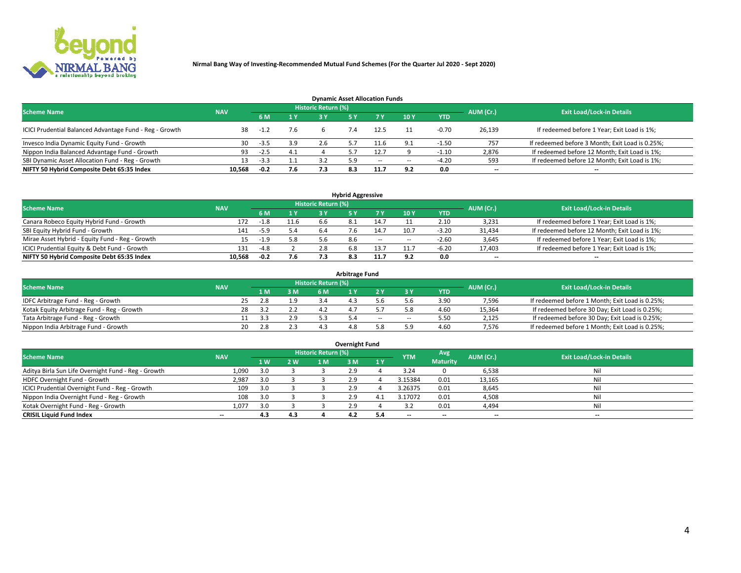

| <b>Dynamic Asset Allocation Funds</b>                   |            |        |     |                            |     |        |            |            |                          |                                                 |  |  |  |  |
|---------------------------------------------------------|------------|--------|-----|----------------------------|-----|--------|------------|------------|--------------------------|-------------------------------------------------|--|--|--|--|
| <b>Scheme Name</b>                                      | <b>NAV</b> |        |     | <b>Historic Return (%)</b> |     |        |            |            | AUM (Cr.)                | <b>Exit Load/Lock-in Details</b>                |  |  |  |  |
|                                                         |            | 6 M    | 1 Y | 3 Y                        |     |        | 10Y        | <b>YTD</b> |                          |                                                 |  |  |  |  |
| ICICI Prudential Balanced Advantage Fund - Reg - Growth | 38         |        | 7.6 |                            |     | 12.5   |            | $-0.70$    | 26,139                   | If redeemed before 1 Year; Exit Load is 1%;     |  |  |  |  |
| Invesco India Dynamic Equity Fund - Growth              | 30         | -3.5   | 3.9 | 2.6                        |     | -1.6   | $\alpha$ 1 | 1.50       | 757                      | If redeemed before 3 Month; Exit Load is 0.25%; |  |  |  |  |
| Nippon India Balanced Advantage Fund - Growth           | 93         | $-2.5$ | 4.1 |                            |     |        |            | -1.10      | 2,876                    | If redeemed before 12 Month; Exit Load is 1%;   |  |  |  |  |
| SBI Dynamic Asset Allocation Fund - Reg - Growth        |            | $-3.3$ |     |                            |     | $\sim$ | --         | -4.20      | 593                      | If redeemed before 12 Month; Exit Load is 1%;   |  |  |  |  |
| NIFTY 50 Hybrid Composite Debt 65:35 Index              | 10,568     | $-0.2$ | 7.6 | 7.3                        | 8.3 | 11.7   | 9.2        | 0.0        | $\overline{\phantom{a}}$ | $- -$                                           |  |  |  |  |

| <b>Hybrid Aggressive</b>                        |            |        |     |                     |     |        |                          |            |                          |                                               |  |  |  |  |
|-------------------------------------------------|------------|--------|-----|---------------------|-----|--------|--------------------------|------------|--------------------------|-----------------------------------------------|--|--|--|--|
| <b>Scheme Name</b>                              | <b>NAV</b> |        |     | Historic Return (%) |     |        |                          |            | AUM (Cr.)                | <b>Exit Load/Lock-in Details</b>              |  |  |  |  |
|                                                 |            | 6 M    | 1 Y | RУ                  |     |        | 10Y                      | <b>YTD</b> |                          |                                               |  |  |  |  |
| Canara Robeco Equity Hybrid Fund - Growth       | 172        | $-1.8$ |     | h h                 |     | 14.7   |                          | 2.10       | 3,231                    | If redeemed before 1 Year; Exit Load is 1%;   |  |  |  |  |
| SBI Equity Hybrid Fund - Growth                 | 141        | -5.9   | 5.4 | 6.4                 |     | 14.7   | 10.7                     | $-3.20$    | 31,434                   | If redeemed before 12 Month; Exit Load is 1%; |  |  |  |  |
| Mirae Asset Hybrid - Equity Fund - Reg - Growth | 15         | $-1.9$ | 5.8 |                     | 8.6 | $\sim$ | $\overline{\phantom{a}}$ | $-2.60$    | 3,645                    | If redeemed before 1 Year; Exit Load is 1%;   |  |  |  |  |
| ICICI Prudential Equity & Debt Fund - Growth    | 131        | $-4.8$ |     |                     |     | 13.7   | 11.7                     | -6.20      | 17,403                   | If redeemed before 1 Year; Exit Load is 1%;   |  |  |  |  |
| NIFTY 50 Hybrid Composite Debt 65:35 Index      | 10.568     | $-0.2$ | 7.6 |                     |     |        |                          | 0.0        | $\overline{\phantom{a}}$ | $- -$                                         |  |  |  |  |

| <b>Arbitrage Fund</b>                      |            |                                  |     |           |  |     |        |            |        |                                                 |  |  |  |  |
|--------------------------------------------|------------|----------------------------------|-----|-----------|--|-----|--------|------------|--------|-------------------------------------------------|--|--|--|--|
| <b>Scheme Name</b>                         | AUM (Cr.)  | <b>Exit Load/Lock-in Details</b> |     |           |  |     |        |            |        |                                                 |  |  |  |  |
|                                            | <b>NAV</b> | LΜ                               | 3 M | <b>6M</b> |  |     |        | <b>YTD</b> |        |                                                 |  |  |  |  |
| IDFC Arbitrage Fund - Reg - Growth         | 25         | 2.8                              | 1.9 |           |  |     |        | 3.90       | 7,596  | If redeemed before 1 Month; Exit Load is 0.25%; |  |  |  |  |
| Kotak Equity Arbitrage Fund - Reg - Growth |            |                                  |     |           |  |     |        | 4.60       | 15,364 | If redeemed before 30 Day; Exit Load is 0.25%;  |  |  |  |  |
| Tata Arbitrage Fund - Reg - Growth         |            |                                  | 2.9 |           |  | $-$ | $\sim$ | 5.50       | 2,125  | If redeemed before 30 Day; Exit Load is 0.25%;  |  |  |  |  |
| Nippon India Arbitrage Fund - Growth       | 20         | 2.8                              |     |           |  |     | : ۵    | 4.60       | 7.576  | If redeemed before 1 Month; Exit Load is 0.25%; |  |  |  |  |

| Overnight Fund                                      |            |           |     |                            |     |    |            |                 |           |                                  |  |  |  |
|-----------------------------------------------------|------------|-----------|-----|----------------------------|-----|----|------------|-----------------|-----------|----------------------------------|--|--|--|
| <b>Scheme Name</b>                                  | <b>NAV</b> |           |     | <b>Historic Return (%)</b> |     |    | <b>YTM</b> | Avg             | AUM (Cr.) | <b>Exit Load/Lock-in Details</b> |  |  |  |
|                                                     |            | <b>1W</b> | 2 W | 1 M                        | ۱M  | 1Y |            | <b>Maturity</b> |           |                                  |  |  |  |
| Aditya Birla Sun Life Overnight Fund - Reg - Growth | 1,090      | 3.0       |     |                            |     |    | 3.24       |                 | 6,538     | Nil                              |  |  |  |
| HDFC Overnight Fund - Growth                        | 2,987      | 3.0       |     |                            |     |    | 3.15384    | 0.01            | 13,165    | Nil                              |  |  |  |
| ICICI Prudential Overnight Fund - Reg - Growth      | 109        | 3.0       |     |                            |     |    | 3.26375    | 0.01            | 8,645     | Nil                              |  |  |  |
| Nippon India Overnight Fund - Reg - Growth          | 108        | 3.0       |     |                            | 2.9 |    | 3.17072    | 0.01            | 4,508     | Nil                              |  |  |  |
| Kotak Overnight Fund - Reg - Growth                 | 1.077      | 3.0       |     |                            |     |    |            | 0.01            | 4,494     | Nil                              |  |  |  |
| <b>CRISIL Liquid Fund Index</b>                     | $- -$      | 4.3       | 4.3 |                            | 4.2 |    | --         | $- -$           | --        | --                               |  |  |  |

#### **Overnight Fund**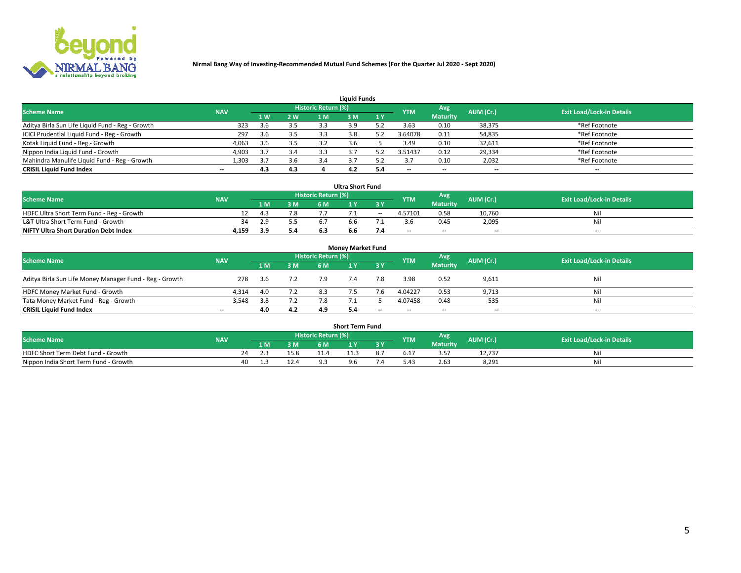

| <b>Liquid Funds</b>                              |            |     |     |                     |     |     |            |                 |           |                                  |  |  |  |  |
|--------------------------------------------------|------------|-----|-----|---------------------|-----|-----|------------|-----------------|-----------|----------------------------------|--|--|--|--|
| <b>Scheme Name</b>                               | <b>NAV</b> |     |     | Historic Return (%) |     |     | <b>YTM</b> | <b>Avg</b>      | AUM (Cr.) | <b>Exit Load/Lock-in Details</b> |  |  |  |  |
|                                                  |            | 4W  | 2 W | 1 M                 | M   | 1 Y |            | <b>Maturity</b> |           |                                  |  |  |  |  |
| Aditya Birla Sun Life Liquid Fund - Reg - Growth | 323        | 3.6 | 3.5 | 3.3                 |     |     | 3.63       | 0.10            | 38,375    | *Ref Footnote                    |  |  |  |  |
| ICICI Prudential Liquid Fund - Reg - Growth      | 297        | 3.6 | 3.5 | 3.3                 | 3.8 |     | 3.64078    | 0.11            | 54,835    | *Ref Footnote                    |  |  |  |  |
| Kotak Liquid Fund - Reg - Growth                 | 4,063      | 3.6 | 3.5 |                     |     |     | 3.49       | 0.10            | 32,611    | *Ref Footnote                    |  |  |  |  |
| Nippon India Liquid Fund - Growth                | 4,903      |     | 3.4 |                     |     |     | 3.51437    | 0.12            | 29,334    | *Ref Footnote                    |  |  |  |  |
| Mahindra Manulife Liquid Fund - Reg - Growth     | 1,303      | 3.7 | 3.6 |                     |     |     |            | 0.10            | 2,032     | *Ref Footnote                    |  |  |  |  |
| <b>CRISIL Liquid Fund Index</b>                  | $- -$      | 4.3 | 4.3 |                     | 4.2 |     | --         | $- -$           | --        | $- -$                            |  |  |  |  |

| <b>Ultra Short Fund</b>                      |            |      |     |                            |     |        |                          |                 |                          |                                  |  |  |  |  |
|----------------------------------------------|------------|------|-----|----------------------------|-----|--------|--------------------------|-----------------|--------------------------|----------------------------------|--|--|--|--|
| <b>Scheme Name</b>                           | <b>NAV</b> |      |     | <b>Historic Return (%)</b> |     |        | <b>YTM</b>               | <b>Avg</b>      | AUM (Cr.)                | <b>Exit Load/Lock-in Details</b> |  |  |  |  |
|                                              |            | 1 M. | 3 M | 6 M                        |     | 3 Y    |                          | <b>Maturity</b> |                          |                                  |  |  |  |  |
| HDFC Ultra Short Term Fund - Reg - Growth    |            | 4.3  | 7.8 |                            |     | $\sim$ | 4.57101                  | 0.58            | 10.760                   | Nil                              |  |  |  |  |
| L&T Ultra Short Term Fund - Growth           | 34         | 2.9  | 55  |                            | n n |        |                          | 0.45            | 2,095                    | Nil                              |  |  |  |  |
| <b>NIFTY Ultra Short Duration Debt Index</b> | 4,159      | 3.9  | 5.4 |                            | b.b |        | $\overline{\phantom{a}}$ | $- -$           | $\overline{\phantom{a}}$ | $- -$                            |  |  |  |  |

| <b>Monev Market Fund</b>                                                                                                       |       |      |     |     |     |                          |                          |                 |                          |       |  |  |  |  |
|--------------------------------------------------------------------------------------------------------------------------------|-------|------|-----|-----|-----|--------------------------|--------------------------|-----------------|--------------------------|-------|--|--|--|--|
| Historic Return (%)<br>'Avg<br><b>Scheme Name</b><br><b>Exit Load/Lock-in Details</b><br>AUM (Cr.)<br><b>NAV</b><br><b>YTM</b> |       |      |     |     |     |                          |                          |                 |                          |       |  |  |  |  |
|                                                                                                                                |       | 1 M  | 3 M | 6 M |     | -3 Y                     |                          | <b>Maturity</b> |                          |       |  |  |  |  |
| Aditya Birla Sun Life Money Manager Fund - Reg - Growth                                                                        | 278   | -3.6 |     | 7.9 | 7.4 | 7.8                      | 3.98                     | 0.52            | 9,611                    | Nil   |  |  |  |  |
| HDFC Money Market Fund - Growth                                                                                                | 4.314 | 4.0  | 7.2 |     |     |                          | 4.04227                  | 0.53            | 9,713                    | Nil   |  |  |  |  |
| Tata Money Market Fund - Reg - Growth                                                                                          | 3,548 | 3.8  | 7.2 |     |     |                          | 4.07458                  | 0.48            | 535                      | Nil   |  |  |  |  |
| <b>CRISIL Liquid Fund Index</b>                                                                                                | $- -$ | 4.0  | 4.2 | 4.9 | 5.4 | $\overline{\phantom{a}}$ | $\overline{\phantom{a}}$ | $-$             | $\overline{\phantom{a}}$ | $- -$ |  |  |  |  |

|                                       |            |    |     |      |                     | <b>Short Term Fund</b> |     |            |                 |           |                                  |
|---------------------------------------|------------|----|-----|------|---------------------|------------------------|-----|------------|-----------------|-----------|----------------------------------|
| <b>Scheme Name</b>                    | <b>NAV</b> |    |     |      | Historic Return (%) |                        |     | <b>YTM</b> | Avg             | AUM (Cr.) | <b>Exit Load/Lock-in Details</b> |
|                                       |            |    | 1 M | 3 M  | 6 M.                | $\overline{M}$         | 3 Y |            | <b>Maturity</b> |           |                                  |
| HDFC Short Term Debt Fund - Growth    |            | 74 |     | 15.8 |                     |                        |     | b.17       |                 | 12,737    | M                                |
| Nippon India Short Term Fund - Growth |            | 40 |     | 12.4 |                     | 9.6                    |     |            | 2.63            | 8,291     | N                                |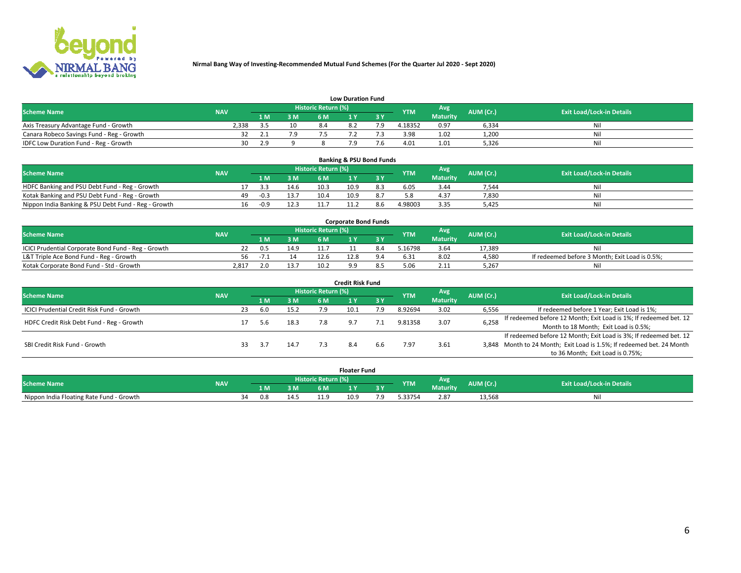

|                                           | <b>Low Duration Fund</b> |      |     |                     |          |     |            |                 |           |                                  |  |  |  |  |  |
|-------------------------------------------|--------------------------|------|-----|---------------------|----------|-----|------------|-----------------|-----------|----------------------------------|--|--|--|--|--|
| <b>Scheme Name</b>                        | <b>NAV</b>               |      |     | Historic Return (%) |          |     | <b>YTM</b> | <b>Avg</b>      | AUM (Cr.) | <b>Exit Load/Lock-in Details</b> |  |  |  |  |  |
|                                           |                          | 1 M. | 3 M | 6 M                 |          | 2 V |            | <b>Maturity</b> |           |                                  |  |  |  |  |  |
| Axis Treasury Advantage Fund - Growth     | 2.338                    |      | 10  |                     | $\Omega$ |     | 4.18352    | 0.97            | 6,334     | Nil                              |  |  |  |  |  |
| Canara Robeco Savings Fund - Reg - Growth |                          |      | 7.9 |                     |          |     | 3.98       | 1.02            | 1,200     | Nil                              |  |  |  |  |  |
| IDFC Low Duration Fund - Reg - Growth     | 30                       | າງ   |     |                     |          |     | 4.01       | 1.01            | 5,326     | Nil                              |  |  |  |  |  |

| <b>Banking &amp; PSU Bond Funds</b>                 |            |    |        |      |                            |      |  |            |                 |           |                                  |  |  |  |
|-----------------------------------------------------|------------|----|--------|------|----------------------------|------|--|------------|-----------------|-----------|----------------------------------|--|--|--|
| <b>Scheme Name</b>                                  | <b>NAV</b> |    |        |      | <b>Historic Return (%)</b> |      |  | <b>YTM</b> | Avg             | AUM (Cr.) | <b>Exit Load/Lock-in Details</b> |  |  |  |
|                                                     |            |    |        | 3 M  | 6 M                        |      |  |            | <b>Maturity</b> |           |                                  |  |  |  |
| HDFC Banking and PSU Debt Fund - Reg - Growth       |            |    | -3.3   | 14.6 | 10.3                       | 10.9 |  | 6.05       | 3.44            | 7.544     | Ni                               |  |  |  |
| Kotak Banking and PSU Debt Fund - Reg - Growth      |            | 49 | $-0.3$ | 13.7 | 10.4                       | 10.9 |  |            | 4.37            | 7,830     | Nil                              |  |  |  |
| Nippon India Banking & PSU Debt Fund - Reg - Growth |            | 16 | $-0.9$ | 12.3 |                            |      |  | 4.98003    | 3.35            | 5.425     | Ni                               |  |  |  |

| <b>Corporate Bond Funds</b>                         |            |      |      |                            |  |  |            |          |           |                                                |  |  |  |  |
|-----------------------------------------------------|------------|------|------|----------------------------|--|--|------------|----------|-----------|------------------------------------------------|--|--|--|--|
| <b>Scheme Name</b>                                  | <b>NAV</b> |      |      | <b>Historic Return (%)</b> |  |  | <b>YTM</b> | Avg      | AUM (Cr.) | <b>Exit Load/Lock-in Details</b>               |  |  |  |  |
|                                                     |            |      | 3 M  | 6 M                        |  |  |            | Maturity |           |                                                |  |  |  |  |
| ICICI Prudential Corporate Bond Fund - Reg - Growth |            | 0.5  | 14.9 |                            |  |  | .16798     | 3.64     | 17.389    | Nil                                            |  |  |  |  |
| L&T Triple Ace Bond Fund - Reg - Growth             | 56         | $-1$ |      | 12.f                       |  |  | 6.31       | 8.02     | 4,580     | If redeemed before 3 Month; Exit Load is 0.5%; |  |  |  |  |
| Kotak Corporate Bond Fund - Std - Growth            | 2.817      |      | 13.7 | 10.2                       |  |  |            | 2.11     | 5,267     | Nil                                            |  |  |  |  |

| <b>Credit Risk Fund</b>                    |            |    |     |      |                            |      |           |            |                 |           |                                                                       |  |  |  |
|--------------------------------------------|------------|----|-----|------|----------------------------|------|-----------|------------|-----------------|-----------|-----------------------------------------------------------------------|--|--|--|
| <b>Scheme Name</b>                         | <b>NAV</b> |    |     |      | <b>Historic Return (%)</b> |      |           | <b>YTM</b> | Avg             | AUM (Cr.) | <b>Exit Load/Lock-in Details</b>                                      |  |  |  |
|                                            |            |    | 1 M | 3 M  | 6 M                        |      | <b>3Y</b> |            | <b>Maturity</b> |           |                                                                       |  |  |  |
| ICICI Prudential Credit Risk Fund - Growth |            | 23 | 6.0 | 15.2 |                            | 10.1 | 7.9       | 8.92694    | 3.02            | 6,556     | If redeemed before 1 Year; Exit Load is 1%;                           |  |  |  |
| HDFC Credit Risk Debt Fund - Reg - Growth  |            |    |     | 18.3 |                            |      |           | 9.81358    | 3.07            | 6,258     | If redeemed before 12 Month; Exit Load is 1%; If redeemed bet. 12     |  |  |  |
|                                            |            |    | 5.b |      |                            |      |           |            |                 |           | Month to 18 Month; Exit Load is 0.5%;                                 |  |  |  |
|                                            |            |    |     |      |                            |      |           |            |                 |           | If redeemed before 12 Month; Exit Load is 3%; If redeemed bet. 12     |  |  |  |
| SBI Credit Risk Fund - Growth              |            |    |     | 14.7 |                            |      | b.b       | '.97       | 3.61            |           | 3,848 Month to 24 Month; Exit Load is 1.5%; If redeemed bet. 24 Month |  |  |  |
|                                            |            |    |     |      |                            |      |           |            |                 |           | to 36 Month; Exit Load is 0.75%;                                      |  |  |  |

| <b>Floater Fund</b>                      |            |  |     |      |                     |              |     |            |                 |           |                                  |  |
|------------------------------------------|------------|--|-----|------|---------------------|--------------|-----|------------|-----------------|-----------|----------------------------------|--|
| <b>Scheme Name</b>                       | <b>NAV</b> |  |     |      | Historic Return (%) |              |     | <b>YTM</b> | Avg             | AUM (Cr.) | <b>Exit Load/Lock-in Details</b> |  |
|                                          |            |  | 1 M | 3 M  | 6 M '               | $\mathbf{v}$ | ע כ |            | <b>Maturity</b> |           |                                  |  |
| Nippon India Floating Rate Fund - Growth |            |  | 0.8 | 14.5 | 11.0<br>---         | 10.9         | 7.9 | .33754     | 2.87            | 13,568    | NI.                              |  |